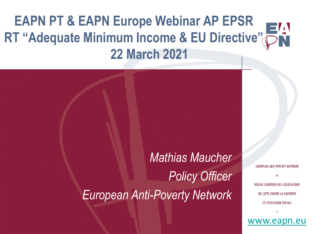# **EAPN PT & EAPN Europe Webinar AP EPSR RT "Adequate Minimum Income & EU Directive" 22 March 2021**

*Mathias Maucher Policy Officer European Anti-Poverty Network*

EUROPEAN ANTI POVERTY NETWORK **RESEAU EUROPEEN DES ASSOCIATIONS** DE LUTTE CONTRE LA PAUVRETE ET L'EXCLUSION SOCIALE

[www.eapn.eu](http://www.eapn.eu/)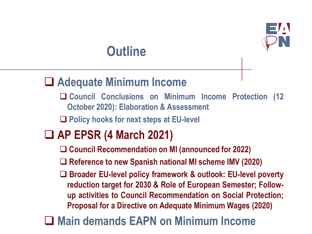

## **Outline**

### ❑ **Adequate Minimum Income**

❑ **Council Conclusions on Minimum Income Protection (12 October 2020): Elaboration & Assessment**

❑ **Policy hooks for next steps at EU-level**

## ❑ **AP EPSR (4 March 2021)**

❑ **Council Recommendation on MI (announced for 2022)**

❑ **Reference to new Spanish national MI scheme IMV (2020)**

❑ **Broader EU-level policy framework & outlook: EU-level poverty reduction target for 2030 & Role of European Semester; Followup activities to Council Recommendation on Social Protection; Proposal for a Directive on Adequate Minimum Wages (2020)**

## ❑ **Main demands EAPN on Minimum Income**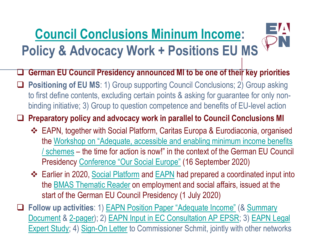# **[Council Conclusions Mininum Income](https://data.consilium.europa.eu/doc/document/ST-11721-2020-INIT/en/pdf): Policy & Advocacy Work + Positions EU MS**



 $\exists\Lambda$ 

❑ **Positioning of EU MS**: 1) Group supporting Council Conclusions; 2) Group asking to first define contents, excluding certain points & asking for guarantee for only nonbinding initiative; 3) Group to question competence and benefits of EU-level action

❑ **Preparatory policy and advocacy work in parallel to Council Conclusions MI**

- ❖ EAPN, together with Social Platform, Caritas Europa & Eurodiaconia, organised the [Workshop on "Adequate, accessible and enabling minimum income benefits](https://www.eapn.eu/conference-our-social-europe-strong-together-germanys-presidency-of-the-council-of-the-european-union/) / schemes – the time for action is now!" in the context of the German EU Council Presidency [Conference "Our Social Europe"](https://bmas.de/EN/EU-Presidency/SocialEurope-Conference/social-europe-conference.html) (16 September 2020)
- ❖ Earlier in 2020, [Social Platform](https://eu2020-reader.bmas.de/en/our-social-europe-strong-together/an-eu-directive-on-adequate-minimum-income-enabling-people-to-thrive-and-not-just-survive/) and [EAPN](https://eu2020-reader.bmas.de/en/our-social-europe-strong-together/the-european-minimum-income-network-promising-examples-of-minimum-income-protection/) had prepared a coordinated input into the [BMAS Thematic Reader](https://bmas.de/EN/EU-Presidency/DigitalAnthology/digital-anthology.html) on employment and social affairs, issued at the start of the German EU Council Presidency (1 July 2020)
- ❑ **Follow up activities**: 1) [EAPN Position Paper "Adequate Income"](https://www.eapn.eu/eapn-position-paper-on-adequate-income/) (& Summary Document [& 2-pager\); 2\) EAPN Input in EC Consultation AP EPSR; 3\) EAPN L](https://www.eapn.eu/wp-content/uploads/2020/09/EAPN-2020_EAPN_Position_Paper_Adequate_Minimum_Income_4pager-4634.pdf)[egal](https://www.eapn.eu/wp-content/uploads/2020/10/EAPN-european-minimum-income-legal-opinion_October-2020-4723.pdf)  Expert Study; 4) [Sign-On Letter](https://www.eapn.eu/wp-content/uploads/2020/11/EAPN-Joint-statement-Minimum-Income-12-November-2020-4831.pdf) to Commissioner Schmit, jointly with other networks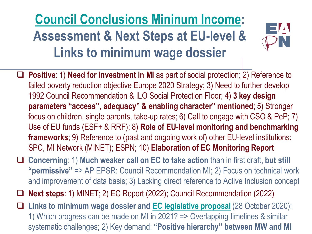# **[Council Conclusions Mininum Income](https://data.consilium.europa.eu/doc/document/ST-11721-2020-INIT/en/pdf): Assessment & Next Steps at EU-level & Links to minimum wage dossier**



- □ Positive: 1) Need for investment in MI as part of social protection; 2) Reference to failed poverty reduction objective Europe 2020 Strategy; 3) Need to further develop 1992 Council Recommendation & ILO Social Protection Floor; 4) **3 key design parameters "access", adequacy" & enabling character" mentioned**; 5) Stronger focus on children, single parents, take-up rates; 6) Call to engage with CSO & PeP; 7) Use of EU funds (ESF+ & RRF); 8) **Role of EU-level monitoring and benchmarking frameworks**; 9) Reference to (past and ongoing work of) other EU-level institutions: SPC, MI Network (MINET); ESPN; 10) **Elaboration of EC Monitoring Report**
- ❑ **Concerning**: 1) **Much weaker call on EC to take action** than in first draft, **but still "permissive"** => AP EPSR: Council Recommendation MI; 2) Focus on technical work and improvement of data basis; 3) Lacking direct reference to Active Inclusion concept

❑ **Next steps**: 1) MINET; 2) EC Report (2022); Council Recommendation (2022)

❑ **Links to minimum wage dossier and [EC legislative proposal](https://ec.europa.eu/commission/presscorner/detail/en/ip_20_1968)** (28 October 2020): 1) Which progress can be made on MI in 2021? => Overlapping timelines & similar systematic challenges; 2) Key demand: **"Positive hierarchy" between MW and MI**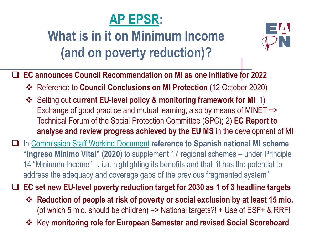

# **What is in it on Minimum Income (and on poverty reduction)?**



- ❑ **EC announces Council Recommendation on MI as one initiative for 2022**
	- ❖ Reference to **Council Conclusions on MI Protection** (12 October 2020)
	- ❖ Setting out **current EU-level policy & monitoring framework for MI**: 1) Exchange of good practice and mutual learning, also by means of MINET => Technical Forum of the Social Protection Committee (SPC); 2) **EC Report to analyse and review progress achieved by the EU MS** in the development of MI
- ❑ In [Commission Staff Working Document](https://ec.europa.eu/commission/presscorner/detail/en/ip_21_820) **reference to Spanish national MI scheme "Ingreso Mínimo Vital" (2020)** to supplement 17 regional schemes – under Principle 14 "Minimum Income" –, i.a. highlighting its benefits and that "it has the potential to address the adequacy and coverage gaps of the previous fragmented system"

❑ **EC set new EU-level poverty reduction target for 2030 as 1 of 3 headline targets**

- ❖ **Reduction of people at risk of poverty or social exclusion by at least 15 mio.**  (of which 5 mio. should be children) => National targets?! + Use of ESF+ & RRF!
- ❖ Key **monitoring role for European Semester and revised Social Scoreboard**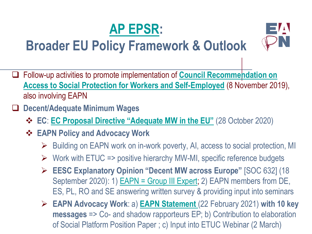

## **Broader EU Policy Framework & Outlook**

- ❑ Follow-up activities to promote implementation of **Council Recommendation on [Access to Social Protection for Workers and Self-Employed](https://eur-lex.europa.eu/legal-content/EN/TXT/?uri=uriserv:OJ.C_.2019.387.01.0001.01.ENG&toc=OJ:C:2019:387:TOC)** (8 November 2019), also involving EAPN
- ❑ **Decent/Adequate Minimum Wages**
	- ❖ **EC**: **[EC Proposal Directive "Adequate MW in the EU"](https://ec.europa.eu/commission/presscorner/detail/en/ip_20_1968)** (28 October 2020)
	- ❖ **EAPN Policy and Advocacy Work**
		- ➢ Building on EAPN work on in-work poverty, AI, access to social protection, MI

 $\Box$ 

- $\triangleright$  Work with ETUC => positive hierarchy MW-MI, specific reference budgets
- ➢ **EESC Explanatory Opinion "Decent MW across Europe"** [SOC 632] (18 September 2020): 1) **EAPN = Group III Expert; 2) EAPN members from DE**, ES, PL, RO and SE answering written survey & providing input into seminars
- ➢ **EAPN Advocacy Work**: a) **[EAPN Statement](https://www.eapn.eu/the-eu-must-adopt-a-directive-on-minimum-wages-eapn-statement/)** (22 February 2021) **with 10 key messages** => Co- and shadow rapporteurs EP; b) Contribution to elaboration of Social Platform Position Paper ; c) Input into ETUC Webinar (2 March)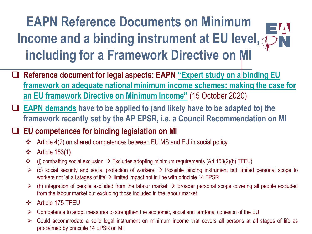#### **EAPN Reference Documents on Minimum**   $\Box$ **Income and a binding instrument at EU level, including for a Framework Directive on MI**

- □ Reference document for legal aspects: EAPN "Expert study on a binding EU **[framework on adequate national minimum income schemes: making the case for](https://www.eapn.eu/wp-content/uploads/2020/10/EAPN-european-minimum-income-legal-opinion_October-2020-4723.pdf)  an EU framework Directive on Minimum Income"** (15 October 2020)
- ❑ **[EAPN demands](https://www.eapn.eu/eapn-position-paper-on-adequate-income/) have to be applied to (and likely have to be adapted to) the framework recently set by the AP EPSR, i.e. a Council Recommendation on MI**

#### ❑ **EU competences for binding legislation on MI**

- ❖ Article 4(2) on shared competences between EU MS and EU in social policy
- ❖ Article 153(1)
- $\dots$  (i) combatting social exclusion  $\rightarrow$  Excludes adopting minimum requirements (Art 153(2)(b) TFEU)
- $\triangleright$  (c) social security and social protection of workers  $\rightarrow$  Possible binding instrument but limited personal scope to workers not 'at all stages of life' → limited impact not in line with principle 14 EPSR
- $\triangleright$  (h) integration of people excluded from the labour market  $\rightarrow$  Broader personal scope covering all people excluded from the labour market but excluding those included in the labour market
- ❖ Article 175 TFEU
- $\triangleright$  Competence to adopt measures to strengthen the economic, social and territorial cohesion of the EU
- ➢ Could accommodate a solid legal instrument on minimum income that covers all persons at all stages of life as proclaimed by principle 14 EPSR on MI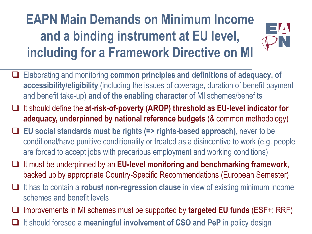# **EAPN Main Demands on Minimum Income and a binding instrument at EU level, including for a Framework Directive on MI**



- ❑ Elaborating and monitoring **common principles and definitions of adequacy, of accessibility/eligibility** (including the issues of coverage, duration of benefit payment and benefit take-up) **and of the enabling character** of MI schemes/benefits
- ❑ It should define the **at-risk-of-poverty (AROP) threshold as EU-level indicator for adequacy, underpinned by national reference budgets** (& common methodology)
- ❑ **EU social standards must be rights (=> rights-based approach)**, never to be conditional/have punitive conditionality or treated as a disincentive to work (e.g. people are forced to accept jobs with precarious employment and working conditions)
- ❑ It must be underpinned by an **EU-level monitoring and benchmarking framework**, backed up by appropriate Country-Specific Recommendations (European Semester)
- ❑ It has to contain a **robust non-regression clause** in view of existing minimum income schemes and benefit levels
- ❑ Improvements in MI schemes must be supported by **targeted EU funds** (ESF+; RRF)
- ❑ It should foresee a **meaningful involvement of CSO and PeP** in policy design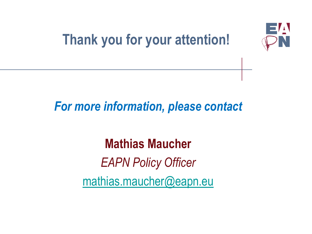

# **Thank you for your attention!**

## *For more information, please contact*

**Mathias Maucher** *EAPN Policy Officer* [mathias.maucher@eapn.eu](mailto:sian.jones@eapn.eu)